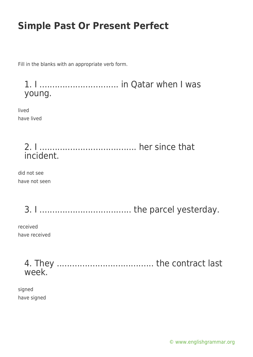Fill in the blanks with an appropriate verb form.

1. I ............................... in Qatar when I was young.

lived have lived

### 2. I ...................................... her since that incident.

did not see have not seen

3. I .................................... the parcel yesterday.

received have received

> 4. They ...................................... the contract last week.

signed have signed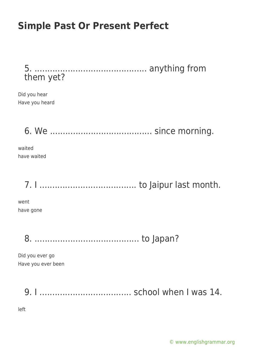5. ............................................ anything from them yet?

Did you hear Have you heard

6. We ........................................ since morning.

waited have waited

7. I ...................................... to Jaipur last month.

went have gone

8. ......................................... to Japan?

Did you ever go Have you ever been

9. I .................................... school when I was 14.

left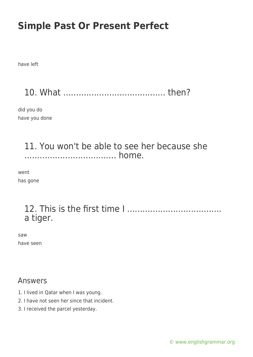have left

10. What ........................................ then?

did you do have you done

### 11. You won't be able to see her because she .................................... home.

went has gone

### 12. This is the first time I ..................................... a tiger.

saw have seen

#### Answers

- 1. I lived in Qatar when I was young.
- 2. I have not seen her since that incident.
- 3. I received the parcel yesterday.